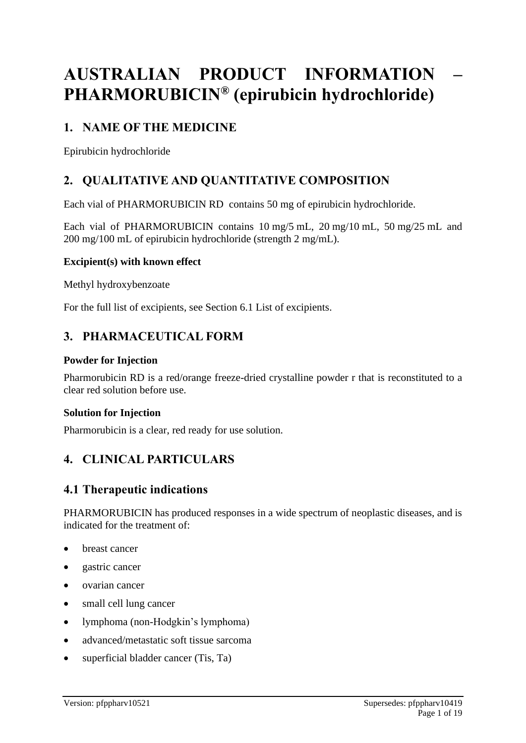# **AUSTRALIAN PRODUCT INFORMATION – PHARMORUBICIN® (epirubicin hydrochloride)**

# **1. NAME OF THE MEDICINE**

Epirubicin hydrochloride

# **2. QUALITATIVE AND QUANTITATIVE COMPOSITION**

Each vial of PHARMORUBICIN RD contains 50 mg of epirubicin hydrochloride.

Each vial of PHARMORUBICIN contains 10 mg/5 mL, 20 mg/10 mL, 50 mg/25 mL and 200 mg/100 mL of epirubicin hydrochloride (strength 2 mg/mL).

# **Excipient(s) with known effect**

Methyl hydroxybenzoate

For the full list of excipients, see Section 6.1 List of excipients.

# **3. PHARMACEUTICAL FORM**

### **Powder for Injection**

Pharmorubicin RD is a red/orange freeze-dried crystalline powder r that is reconstituted to a clear red solution before use.

#### **Solution for Injection**

Pharmorubicin is a clear, red ready for use solution.

# **4. CLINICAL PARTICULARS**

# **4.1 Therapeutic indications**

PHARMORUBICIN has produced responses in a wide spectrum of neoplastic diseases, and is indicated for the treatment of:

- breast cancer
- gastric cancer
- ovarian cancer
- small cell lung cancer
- lymphoma (non-Hodgkin's lymphoma)
- advanced/metastatic soft tissue sarcoma
- superficial bladder cancer (Tis, Ta)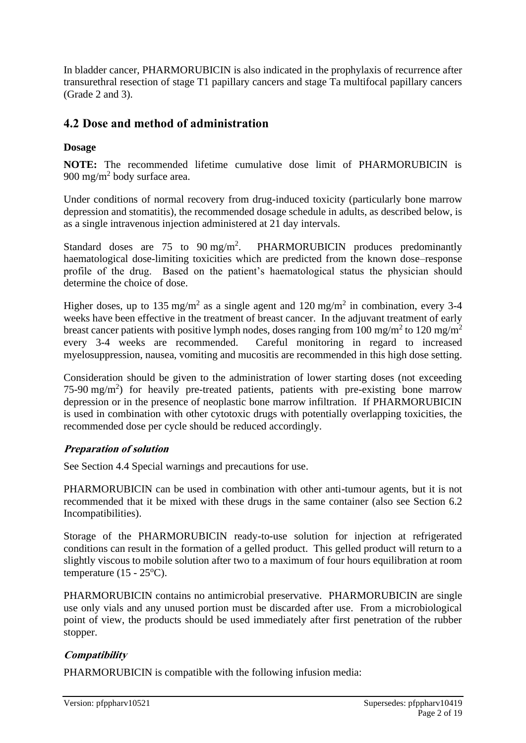In bladder cancer, PHARMORUBICIN is also indicated in the prophylaxis of recurrence after transurethral resection of stage T1 papillary cancers and stage Ta multifocal papillary cancers (Grade 2 and 3).

# **4.2 Dose and method of administration**

# **Dosage**

**NOTE:** The recommended lifetime cumulative dose limit of PHARMORUBICIN is 900 mg/m<sup>2</sup> body surface area.

Under conditions of normal recovery from drug-induced toxicity (particularly bone marrow depression and stomatitis), the recommended dosage schedule in adults, as described below, is as a single intravenous injection administered at 21 day intervals.

Standard doses are  $75$  to  $90 \text{ mg/m}^2$ . PHARMORUBICIN produces predominantly haematological dose-limiting toxicities which are predicted from the known dose–response profile of the drug. Based on the patient's haematological status the physician should determine the choice of dose.

Higher doses, up to 135 mg/m<sup>2</sup> as a single agent and 120 mg/m<sup>2</sup> in combination, every 3-4 weeks have been effective in the treatment of breast cancer. In the adjuvant treatment of early breast cancer patients with positive lymph nodes, doses ranging from 100 mg/m<sup>2</sup> to 120 mg/m<sup>2</sup> every 3-4 weeks are recommended. Careful monitoring in regard to increased myelosuppression, nausea, vomiting and mucositis are recommended in this high dose setting.

Consideration should be given to the administration of lower starting doses (not exceeding 75-90 mg/m<sup>2</sup>) for heavily pre-treated patients, patients with pre-existing bone marrow depression or in the presence of neoplastic bone marrow infiltration. If PHARMORUBICIN is used in combination with other cytotoxic drugs with potentially overlapping toxicities, the recommended dose per cycle should be reduced accordingly.

# **Preparation of solution**

See Section 4.4 Special warnings and precautions for use.

PHARMORUBICIN can be used in combination with other anti-tumour agents, but it is not recommended that it be mixed with these drugs in the same container (also see Section 6.2 Incompatibilities).

Storage of the PHARMORUBICIN ready-to-use solution for injection at refrigerated conditions can result in the formation of a gelled product. This gelled product will return to a slightly viscous to mobile solution after two to a maximum of four hours equilibration at room temperature  $(15 - 25$ <sup>o</sup>C).

PHARMORUBICIN contains no antimicrobial preservative. PHARMORUBICIN are single use only vials and any unused portion must be discarded after use. From a microbiological point of view, the products should be used immediately after first penetration of the rubber stopper.

# **Compatibility**

PHARMORUBICIN is compatible with the following infusion media: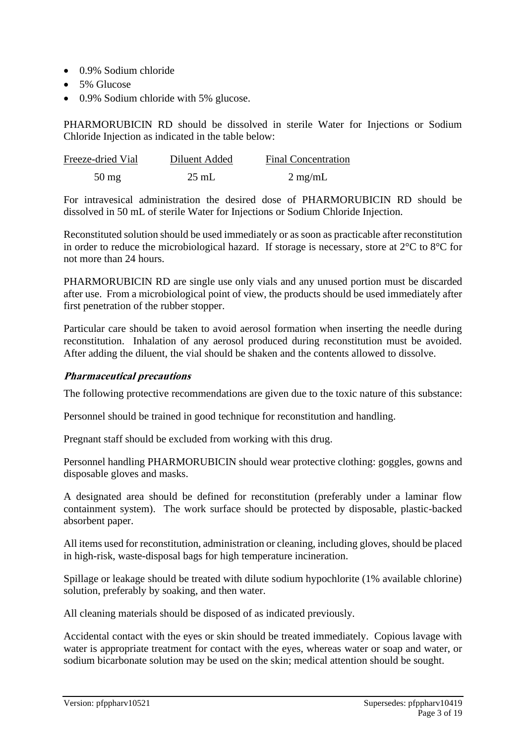- 0.9% Sodium chloride
- 5% Glucose
- 0.9% Sodium chloride with 5% glucose.

PHARMORUBICIN RD should be dissolved in sterile Water for Injections or Sodium Chloride Injection as indicated in the table below:

| Freeze-dried Vial | Diluent Added   | <b>Final Concentration</b> |
|-------------------|-----------------|----------------------------|
| $50 \text{ mg}$   | $25 \text{ mL}$ | $2 \text{ mg/mL}$          |

For intravesical administration the desired dose of PHARMORUBICIN RD should be dissolved in 50 mL of sterile Water for Injections or Sodium Chloride Injection.

Reconstituted solution should be used immediately or as soon as practicable after reconstitution in order to reduce the microbiological hazard. If storage is necessary, store at  $2^{\circ}$ C to  $8^{\circ}$ C for not more than 24 hours.

PHARMORUBICIN RD are single use only vials and any unused portion must be discarded after use. From a microbiological point of view, the products should be used immediately after first penetration of the rubber stopper.

Particular care should be taken to avoid aerosol formation when inserting the needle during reconstitution. Inhalation of any aerosol produced during reconstitution must be avoided. After adding the diluent, the vial should be shaken and the contents allowed to dissolve.

#### **Pharmaceutical precautions**

The following protective recommendations are given due to the toxic nature of this substance:

Personnel should be trained in good technique for reconstitution and handling.

Pregnant staff should be excluded from working with this drug.

Personnel handling PHARMORUBICIN should wear protective clothing: goggles, gowns and disposable gloves and masks.

A designated area should be defined for reconstitution (preferably under a laminar flow containment system). The work surface should be protected by disposable, plastic-backed absorbent paper.

All items used for reconstitution, administration or cleaning, including gloves, should be placed in high-risk, waste-disposal bags for high temperature incineration.

Spillage or leakage should be treated with dilute sodium hypochlorite (1% available chlorine) solution, preferably by soaking, and then water.

All cleaning materials should be disposed of as indicated previously.

Accidental contact with the eyes or skin should be treated immediately. Copious lavage with water is appropriate treatment for contact with the eyes, whereas water or soap and water, or sodium bicarbonate solution may be used on the skin; medical attention should be sought.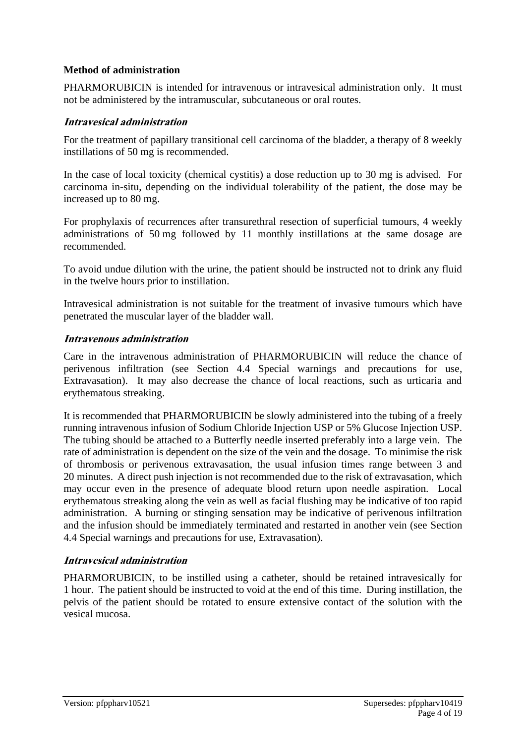### **Method of administration**

PHARMORUBICIN is intended for intravenous or intravesical administration only. It must not be administered by the intramuscular, subcutaneous or oral routes.

### **Intravesical administration**

For the treatment of papillary transitional cell carcinoma of the bladder, a therapy of 8 weekly instillations of 50 mg is recommended.

In the case of local toxicity (chemical cystitis) a dose reduction up to 30 mg is advised. For carcinoma in-situ, depending on the individual tolerability of the patient, the dose may be increased up to 80 mg.

For prophylaxis of recurrences after transurethral resection of superficial tumours, 4 weekly administrations of 50 mg followed by 11 monthly instillations at the same dosage are recommended.

To avoid undue dilution with the urine, the patient should be instructed not to drink any fluid in the twelve hours prior to instillation.

Intravesical administration is not suitable for the treatment of invasive tumours which have penetrated the muscular layer of the bladder wall.

#### **Intravenous administration**

Care in the intravenous administration of PHARMORUBICIN will reduce the chance of perivenous infiltration (see Section 4.4 Special warnings and precautions for use, Extravasation). It may also decrease the chance of local reactions, such as urticaria and erythematous streaking.

It is recommended that PHARMORUBICIN be slowly administered into the tubing of a freely running intravenous infusion of Sodium Chloride Injection USP or 5% Glucose Injection USP. The tubing should be attached to a Butterfly needle inserted preferably into a large vein. The rate of administration is dependent on the size of the vein and the dosage. To minimise the risk of thrombosis or perivenous extravasation, the usual infusion times range between 3 and 20 minutes. A direct push injection is not recommended due to the risk of extravasation, which may occur even in the presence of adequate blood return upon needle aspiration. Local erythematous streaking along the vein as well as facial flushing may be indicative of too rapid administration. A burning or stinging sensation may be indicative of perivenous infiltration and the infusion should be immediately terminated and restarted in another vein (see Section 4.4 Special warnings and precautions for use, Extravasation).

#### **Intravesical administration**

PHARMORUBICIN, to be instilled using a catheter, should be retained intravesically for 1 hour. The patient should be instructed to void at the end of this time. During instillation, the pelvis of the patient should be rotated to ensure extensive contact of the solution with the vesical mucosa.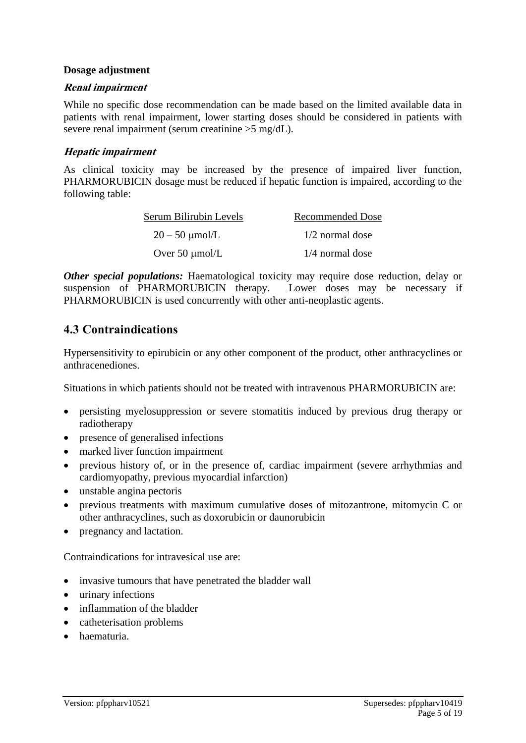#### **Dosage adjustment**

#### **Renal impairment**

While no specific dose recommendation can be made based on the limited available data in patients with renal impairment, lower starting doses should be considered in patients with severe renal impairment (serum creatinine >5 mg/dL).

#### **Hepatic impairment**

As clinical toxicity may be increased by the presence of impaired liver function, PHARMORUBICIN dosage must be reduced if hepatic function is impaired, according to the following table:

| Serum Bilirubin Levels | <b>Recommended Dose</b> |  |
|------------------------|-------------------------|--|
| $20 - 50 \mu$ mol/L    | $1/2$ normal dose       |  |
| Over $50 \mu$ mol/L    | $1/4$ normal dose       |  |

*Other special populations:* Haematological toxicity may require dose reduction, delay or suspension of PHARMORUBICIN therapy. Lower doses may be necessary if PHARMORUBICIN is used concurrently with other anti-neoplastic agents.

# **4.3 Contraindications**

Hypersensitivity to epirubicin or any other component of the product, other anthracyclines or anthracenediones.

Situations in which patients should not be treated with intravenous PHARMORUBICIN are:

- persisting myelosuppression or severe stomatitis induced by previous drug therapy or radiotherapy
- presence of generalised infections
- marked liver function impairment
- previous history of, or in the presence of, cardiac impairment (severe arrhythmias and cardiomyopathy, previous myocardial infarction)
- unstable angina pectoris
- previous treatments with maximum cumulative doses of mitozantrone, mitomycin C or other anthracyclines, such as doxorubicin or daunorubicin
- pregnancy and lactation.

Contraindications for intravesical use are:

- invasive tumours that have penetrated the bladder wall
- urinary infections
- inflammation of the bladder
- catheterisation problems
- haematuria.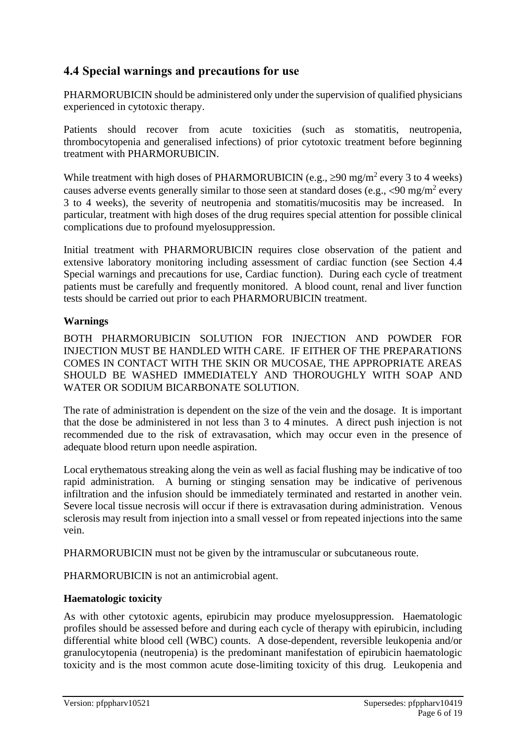# **4.4 Special warnings and precautions for use**

PHARMORUBICIN should be administered only under the supervision of qualified physicians experienced in cytotoxic therapy.

Patients should recover from acute toxicities (such as stomatitis, neutropenia, thrombocytopenia and generalised infections) of prior cytotoxic treatment before beginning treatment with PHARMORUBICIN.

While treatment with high doses of PHARMORUBICIN (e.g.,  $\geq 90$  mg/m<sup>2</sup> every 3 to 4 weeks) causes adverse events generally similar to those seen at standard doses (e.g.,  $\langle 90 \text{ mg/m}^2 \text{ every}$ ) 3 to 4 weeks), the severity of neutropenia and stomatitis/mucositis may be increased. In particular, treatment with high doses of the drug requires special attention for possible clinical complications due to profound myelosuppression.

Initial treatment with PHARMORUBICIN requires close observation of the patient and extensive laboratory monitoring including assessment of cardiac function (see Section 4.4 Special warnings and precautions for use, Cardiac function). During each cycle of treatment patients must be carefully and frequently monitored. A blood count, renal and liver function tests should be carried out prior to each PHARMORUBICIN treatment.

### **Warnings**

BOTH PHARMORUBICIN SOLUTION FOR INJECTION AND POWDER FOR INJECTION MUST BE HANDLED WITH CARE. IF EITHER OF THE PREPARATIONS COMES IN CONTACT WITH THE SKIN OR MUCOSAE, THE APPROPRIATE AREAS SHOULD BE WASHED IMMEDIATELY AND THOROUGHLY WITH SOAP AND WATER OR SODIUM BICARBONATE SOLUTION.

The rate of administration is dependent on the size of the vein and the dosage. It is important that the dose be administered in not less than 3 to 4 minutes. A direct push injection is not recommended due to the risk of extravasation, which may occur even in the presence of adequate blood return upon needle aspiration.

Local erythematous streaking along the vein as well as facial flushing may be indicative of too rapid administration. A burning or stinging sensation may be indicative of perivenous infiltration and the infusion should be immediately terminated and restarted in another vein. Severe local tissue necrosis will occur if there is extravasation during administration. Venous sclerosis may result from injection into a small vessel or from repeated injections into the same vein.

PHARMORUBICIN must not be given by the intramuscular or subcutaneous route.

PHARMORUBICIN is not an antimicrobial agent.

# **Haematologic toxicity**

As with other cytotoxic agents, epirubicin may produce myelosuppression. Haematologic profiles should be assessed before and during each cycle of therapy with epirubicin, including differential white blood cell (WBC) counts. A dose-dependent, reversible leukopenia and/or granulocytopenia (neutropenia) is the predominant manifestation of epirubicin haematologic toxicity and is the most common acute dose-limiting toxicity of this drug. Leukopenia and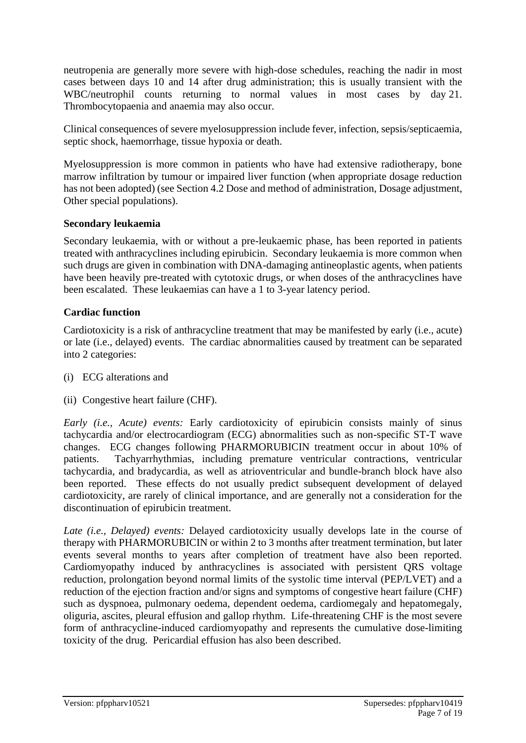neutropenia are generally more severe with high-dose schedules, reaching the nadir in most cases between days 10 and 14 after drug administration; this is usually transient with the WBC/neutrophil counts returning to normal values in most cases by day 21. Thrombocytopaenia and anaemia may also occur.

Clinical consequences of severe myelosuppression include fever, infection, sepsis/septicaemia, septic shock, haemorrhage, tissue hypoxia or death.

Myelosuppression is more common in patients who have had extensive radiotherapy, bone marrow infiltration by tumour or impaired liver function (when appropriate dosage reduction has not been adopted) (see Section 4.2 Dose and method of administration, Dosage adjustment, Other special populations).

### **Secondary leukaemia**

Secondary leukaemia, with or without a pre-leukaemic phase, has been reported in patients treated with anthracyclines including epirubicin. Secondary leukaemia is more common when such drugs are given in combination with DNA-damaging antineoplastic agents, when patients have been heavily pre-treated with cytotoxic drugs, or when doses of the anthracyclines have been escalated. These leukaemias can have a 1 to 3-year latency period.

### **Cardiac function**

Cardiotoxicity is a risk of anthracycline treatment that may be manifested by early (i.e., acute) or late (i.e., delayed) events. The cardiac abnormalities caused by treatment can be separated into 2 categories:

- (i) ECG alterations and
- (ii) Congestive heart failure (CHF).

*Early (i.e., Acute) events:* Early cardiotoxicity of epirubicin consists mainly of sinus tachycardia and/or electrocardiogram (ECG) abnormalities such as non-specific ST-T wave changes. ECG changes following PHARMORUBICIN treatment occur in about 10% of patients. Tachyarrhythmias, including premature ventricular contractions, ventricular tachycardia, and bradycardia, as well as atrioventricular and bundle-branch block have also been reported. These effects do not usually predict subsequent development of delayed cardiotoxicity, are rarely of clinical importance, and are generally not a consideration for the discontinuation of epirubicin treatment.

*Late (i.e., Delayed) events:* Delayed cardiotoxicity usually develops late in the course of therapy with PHARMORUBICIN or within 2 to 3 months after treatment termination, but later events several months to years after completion of treatment have also been reported. Cardiomyopathy induced by anthracyclines is associated with persistent QRS voltage reduction, prolongation beyond normal limits of the systolic time interval (PEP/LVET) and a reduction of the ejection fraction and/or signs and symptoms of congestive heart failure (CHF) such as dyspnoea, pulmonary oedema, dependent oedema, cardiomegaly and hepatomegaly, oliguria, ascites, pleural effusion and gallop rhythm. Life-threatening CHF is the most severe form of anthracycline-induced cardiomyopathy and represents the cumulative dose-limiting toxicity of the drug. Pericardial effusion has also been described.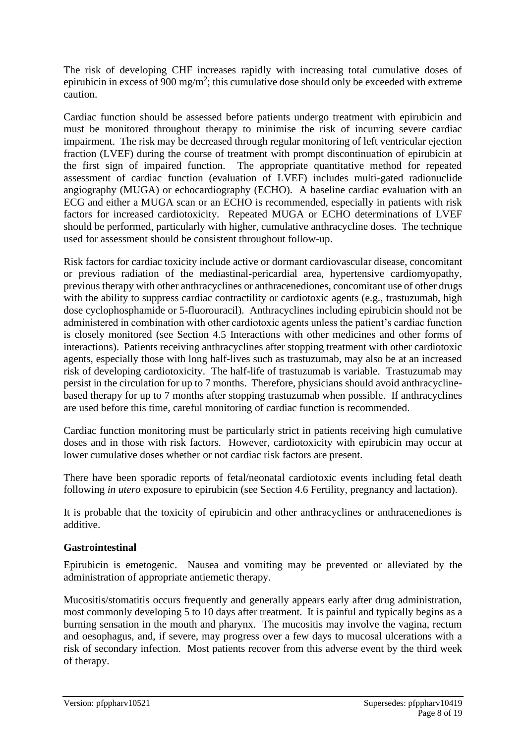The risk of developing CHF increases rapidly with increasing total cumulative doses of epirubicin in excess of 900 mg/m<sup>2</sup>; this cumulative dose should only be exceeded with extreme caution.

Cardiac function should be assessed before patients undergo treatment with epirubicin and must be monitored throughout therapy to minimise the risk of incurring severe cardiac impairment. The risk may be decreased through regular monitoring of left ventricular ejection fraction (LVEF) during the course of treatment with prompt discontinuation of epirubicin at the first sign of impaired function. The appropriate quantitative method for repeated assessment of cardiac function (evaluation of LVEF) includes multi-gated radionuclide angiography (MUGA) or echocardiography (ECHO). A baseline cardiac evaluation with an ECG and either a MUGA scan or an ECHO is recommended, especially in patients with risk factors for increased cardiotoxicity. Repeated MUGA or ECHO determinations of LVEF should be performed, particularly with higher, cumulative anthracycline doses. The technique used for assessment should be consistent throughout follow-up.

Risk factors for cardiac toxicity include active or dormant cardiovascular disease, concomitant or previous radiation of the mediastinal-pericardial area, hypertensive cardiomyopathy, previous therapy with other anthracyclines or anthracenediones, concomitant use of other drugs with the ability to suppress cardiac contractility or cardiotoxic agents (e.g., trastuzumab, high dose cyclophosphamide or 5-fluorouracil). Anthracyclines including epirubicin should not be administered in combination with other cardiotoxic agents unless the patient's cardiac function is closely monitored (see Section 4.5 Interactions with other medicines and other forms of interactions). Patients receiving anthracyclines after stopping treatment with other cardiotoxic agents, especially those with long half-lives such as trastuzumab, may also be at an increased risk of developing cardiotoxicity. The half-life of trastuzumab is variable. Trastuzumab may persist in the circulation for up to 7 months. Therefore, physicians should avoid anthracyclinebased therapy for up to 7 months after stopping trastuzumab when possible. If anthracyclines are used before this time, careful monitoring of cardiac function is recommended.

Cardiac function monitoring must be particularly strict in patients receiving high cumulative doses and in those with risk factors. However, cardiotoxicity with epirubicin may occur at lower cumulative doses whether or not cardiac risk factors are present.

There have been sporadic reports of fetal/neonatal cardiotoxic events including fetal death following *in utero* exposure to epirubicin (see Section 4.6 Fertility, pregnancy and lactation).

It is probable that the toxicity of epirubicin and other anthracyclines or anthracenediones is additive.

#### **Gastrointestinal**

Epirubicin is emetogenic. Nausea and vomiting may be prevented or alleviated by the administration of appropriate antiemetic therapy.

Mucositis/stomatitis occurs frequently and generally appears early after drug administration, most commonly developing 5 to 10 days after treatment. It is painful and typically begins as a burning sensation in the mouth and pharynx. The mucositis may involve the vagina, rectum and oesophagus, and, if severe, may progress over a few days to mucosal ulcerations with a risk of secondary infection. Most patients recover from this adverse event by the third week of therapy.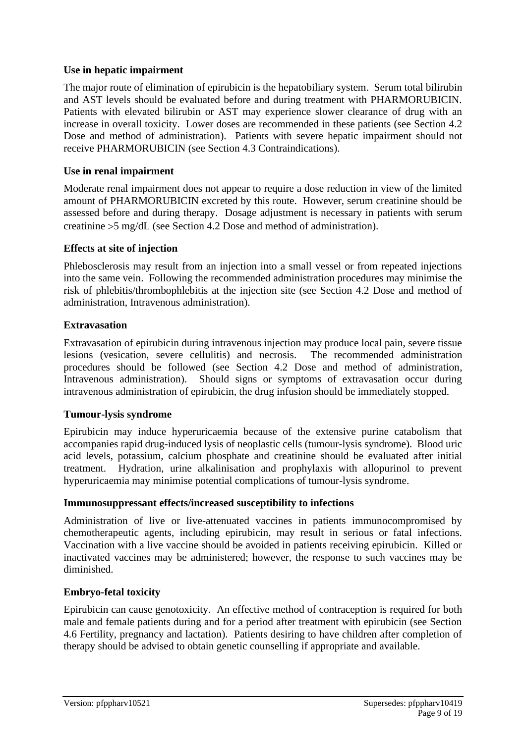#### **Use in hepatic impairment**

The major route of elimination of epirubicin is the hepatobiliary system. Serum total bilirubin and AST levels should be evaluated before and during treatment with PHARMORUBICIN. Patients with elevated bilirubin or AST may experience slower clearance of drug with an increase in overall toxicity. Lower doses are recommended in these patients (see Section 4.2 Dose and method of administration). Patients with severe hepatic impairment should not receive PHARMORUBICIN (see Section 4.3 Contraindications).

### **Use in renal impairment**

Moderate renal impairment does not appear to require a dose reduction in view of the limited amount of PHARMORUBICIN excreted by this route. However, serum creatinine should be assessed before and during therapy. Dosage adjustment is necessary in patients with serum creatinine 5 mg/dL (see Section 4.2 Dose and method of administration).

### **Effects at site of injection**

Phlebosclerosis may result from an injection into a small vessel or from repeated injections into the same vein. Following the recommended administration procedures may minimise the risk of phlebitis/thrombophlebitis at the injection site (see Section 4.2 Dose and method of administration, Intravenous administration).

### **Extravasation**

Extravasation of epirubicin during intravenous injection may produce local pain, severe tissue lesions (vesication, severe cellulitis) and necrosis. The recommended administration procedures should be followed (see Section 4.2 Dose and method of administration, Intravenous administration). Should signs or symptoms of extravasation occur during intravenous administration of epirubicin, the drug infusion should be immediately stopped.

#### **Tumour-lysis syndrome**

Epirubicin may induce hyperuricaemia because of the extensive purine catabolism that accompanies rapid drug-induced lysis of neoplastic cells (tumour-lysis syndrome). Blood uric acid levels, potassium, calcium phosphate and creatinine should be evaluated after initial treatment. Hydration, urine alkalinisation and prophylaxis with allopurinol to prevent hyperuricaemia may minimise potential complications of tumour-lysis syndrome.

#### **Immunosuppressant effects/increased susceptibility to infections**

Administration of live or live-attenuated vaccines in patients immunocompromised by chemotherapeutic agents, including epirubicin, may result in serious or fatal infections. Vaccination with a live vaccine should be avoided in patients receiving epirubicin. Killed or inactivated vaccines may be administered; however, the response to such vaccines may be diminished.

# **Embryo-fetal toxicity**

Epirubicin can cause genotoxicity. An effective method of contraception is required for both male and female patients during and for a period after treatment with epirubicin (see Section 4.6 Fertility, pregnancy and lactation). Patients desiring to have children after completion of therapy should be advised to obtain genetic counselling if appropriate and available.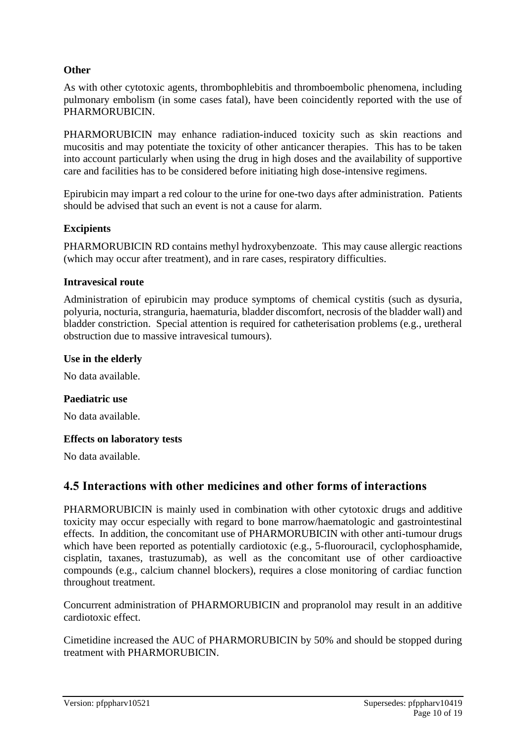### **Other**

As with other cytotoxic agents, thrombophlebitis and thromboembolic phenomena, including pulmonary embolism (in some cases fatal), have been coincidently reported with the use of PHARMORUBICIN.

PHARMORUBICIN may enhance radiation-induced toxicity such as skin reactions and mucositis and may potentiate the toxicity of other anticancer therapies. This has to be taken into account particularly when using the drug in high doses and the availability of supportive care and facilities has to be considered before initiating high dose-intensive regimens.

Epirubicin may impart a red colour to the urine for one-two days after administration. Patients should be advised that such an event is not a cause for alarm.

#### **Excipients**

PHARMORUBICIN RD contains methyl hydroxybenzoate. This may cause allergic reactions (which may occur after treatment), and in rare cases, respiratory difficulties.

#### **Intravesical route**

Administration of epirubicin may produce symptoms of chemical cystitis (such as dysuria, polyuria, nocturia, stranguria, haematuria, bladder discomfort, necrosis of the bladder wall) and bladder constriction. Special attention is required for catheterisation problems (e.g., uretheral obstruction due to massive intravesical tumours).

#### **Use in the elderly**

No data available.

#### **Paediatric use**

No data available.

#### **Effects on laboratory tests**

No data available.

# **4.5 Interactions with other medicines and other forms of interactions**

PHARMORUBICIN is mainly used in combination with other cytotoxic drugs and additive toxicity may occur especially with regard to bone marrow/haematologic and gastrointestinal effects. In addition, the concomitant use of PHARMORUBICIN with other anti-tumour drugs which have been reported as potentially cardiotoxic (e.g., 5-fluorouracil, cyclophosphamide, cisplatin, taxanes, trastuzumab), as well as the concomitant use of other cardioactive compounds (e.g., calcium channel blockers), requires a close monitoring of cardiac function throughout treatment.

Concurrent administration of PHARMORUBICIN and propranolol may result in an additive cardiotoxic effect.

Cimetidine increased the AUC of PHARMORUBICIN by 50% and should be stopped during treatment with PHARMORUBICIN.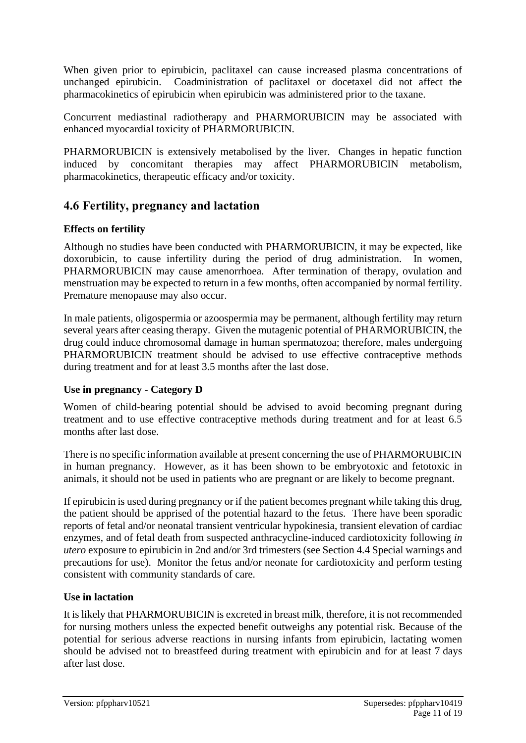When given prior to epirubicin, paclitaxel can cause increased plasma concentrations of unchanged epirubicin. Coadministration of paclitaxel or docetaxel did not affect the pharmacokinetics of epirubicin when epirubicin was administered prior to the taxane.

Concurrent mediastinal radiotherapy and PHARMORUBICIN may be associated with enhanced myocardial toxicity of PHARMORUBICIN.

PHARMORUBICIN is extensively metabolised by the liver. Changes in hepatic function induced by concomitant therapies may affect PHARMORUBICIN metabolism, pharmacokinetics, therapeutic efficacy and/or toxicity.

# **4.6 Fertility, pregnancy and lactation**

# **Effects on fertility**

Although no studies have been conducted with PHARMORUBICIN, it may be expected, like doxorubicin, to cause infertility during the period of drug administration. In women, PHARMORUBICIN may cause amenorrhoea. After termination of therapy, ovulation and menstruation may be expected to return in a few months, often accompanied by normal fertility. Premature menopause may also occur.

In male patients, oligospermia or azoospermia may be permanent, although fertility may return several years after ceasing therapy. Given the mutagenic potential of PHARMORUBICIN, the drug could induce chromosomal damage in human spermatozoa; therefore, males undergoing PHARMORUBICIN treatment should be advised to use effective contraceptive methods during treatment and for at least 3.5 months after the last dose.

# **Use in pregnancy - Category D**

Women of child-bearing potential should be advised to avoid becoming pregnant during treatment and to use effective contraceptive methods during treatment and for at least 6.5 months after last dose.

There is no specific information available at present concerning the use of PHARMORUBICIN in human pregnancy. However, as it has been shown to be embryotoxic and fetotoxic in animals, it should not be used in patients who are pregnant or are likely to become pregnant.

If epirubicin is used during pregnancy or if the patient becomes pregnant while taking this drug, the patient should be apprised of the potential hazard to the fetus. There have been sporadic reports of fetal and/or neonatal transient ventricular hypokinesia, transient elevation of cardiac enzymes, and of fetal death from suspected anthracycline-induced cardiotoxicity following *in utero* exposure to epirubicin in 2nd and/or 3rd trimesters (see Section 4.4 Special warnings and precautions for use). Monitor the fetus and/or neonate for cardiotoxicity and perform testing consistent with community standards of care.

#### **Use in lactation**

It is likely that PHARMORUBICIN is excreted in breast milk, therefore, it is not recommended for nursing mothers unless the expected benefit outweighs any potential risk. Because of the potential for serious adverse reactions in nursing infants from epirubicin, lactating women should be advised not to breastfeed during treatment with epirubicin and for at least 7 days after last dose.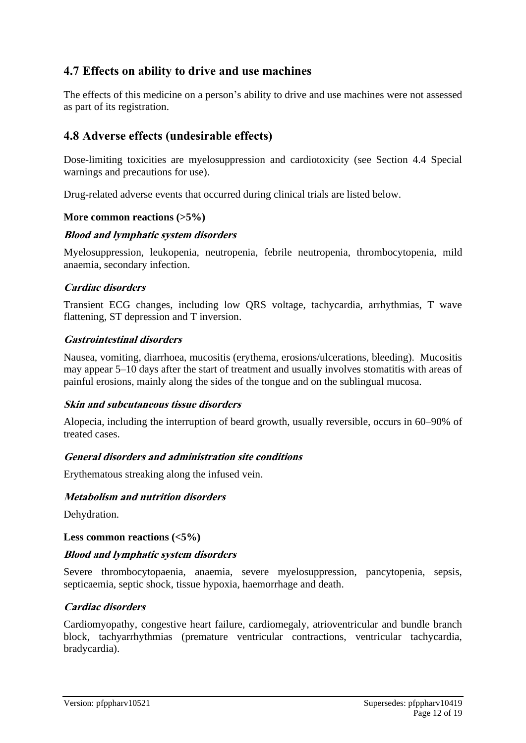# **4.7 Effects on ability to drive and use machines**

The effects of this medicine on a person's ability to drive and use machines were not assessed as part of its registration.

# **4.8 Adverse effects (undesirable effects)**

Dose-limiting toxicities are myelosuppression and cardiotoxicity (see Section 4.4 Special warnings and precautions for use).

Drug-related adverse events that occurred during clinical trials are listed below.

#### **More common reactions (>5%)**

#### **Blood and lymphatic system disorders**

Myelosuppression, leukopenia, neutropenia, febrile neutropenia, thrombocytopenia, mild anaemia, secondary infection.

#### **Cardiac disorders**

Transient ECG changes, including low QRS voltage, tachycardia, arrhythmias, T wave flattening, ST depression and T inversion.

#### **Gastrointestinal disorders**

Nausea, vomiting, diarrhoea, mucositis (erythema, erosions/ulcerations, bleeding). Mucositis may appear 5–10 days after the start of treatment and usually involves stomatitis with areas of painful erosions, mainly along the sides of the tongue and on the sublingual mucosa.

#### **Skin and subcutaneous tissue disorders**

Alopecia, including the interruption of beard growth, usually reversible, occurs in 60–90% of treated cases.

#### **General disorders and administration site conditions**

Erythematous streaking along the infused vein.

#### **Metabolism and nutrition disorders**

Dehydration.

**Less common reactions (<5%)**

#### **Blood and lymphatic system disorders**

Severe thrombocytopaenia, anaemia, severe myelosuppression, pancytopenia, sepsis, septicaemia, septic shock, tissue hypoxia, haemorrhage and death.

#### **Cardiac disorders**

Cardiomyopathy, congestive heart failure, cardiomegaly, atrioventricular and bundle branch block, tachyarrhythmias (premature ventricular contractions, ventricular tachycardia, bradycardia).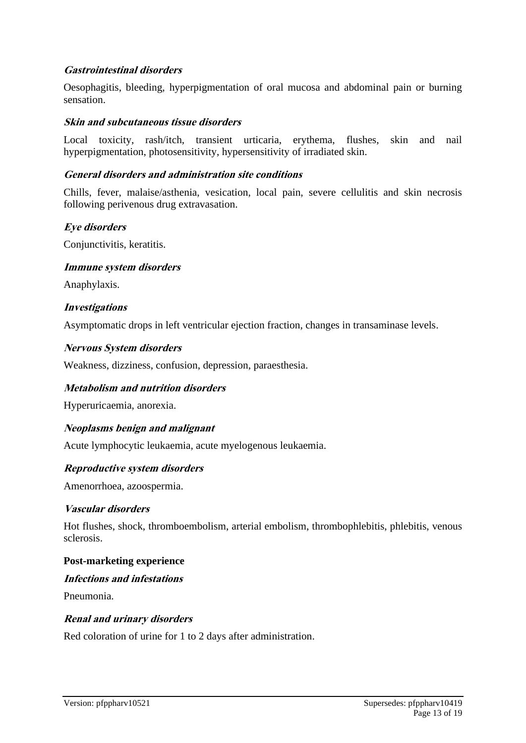### **Gastrointestinal disorders**

Oesophagitis, bleeding, hyperpigmentation of oral mucosa and abdominal pain or burning sensation.

#### **Skin and subcutaneous tissue disorders**

Local toxicity, rash/itch, transient urticaria, erythema, flushes, skin and nail hyperpigmentation, photosensitivity, hypersensitivity of irradiated skin.

#### **General disorders and administration site conditions**

Chills, fever, malaise/asthenia, vesication, local pain, severe cellulitis and skin necrosis following perivenous drug extravasation.

#### **Eye disorders**

Conjunctivitis, keratitis.

#### **Immune system disorders**

Anaphylaxis.

#### **Investigations**

Asymptomatic drops in left ventricular ejection fraction, changes in transaminase levels.

#### **Nervous System disorders**

Weakness, dizziness, confusion, depression, paraesthesia.

#### **Metabolism and nutrition disorders**

Hyperuricaemia, anorexia.

#### **Neoplasms benign and malignant**

Acute lymphocytic leukaemia, acute myelogenous leukaemia.

#### **Reproductive system disorders**

Amenorrhoea, azoospermia.

#### **Vascular disorders**

Hot flushes, shock, thromboembolism, arterial embolism, thrombophlebitis, phlebitis, venous sclerosis.

#### **Post-marketing experience**

#### **Infections and infestations**

Pneumonia.

#### **Renal and urinary disorders**

Red coloration of urine for 1 to 2 days after administration.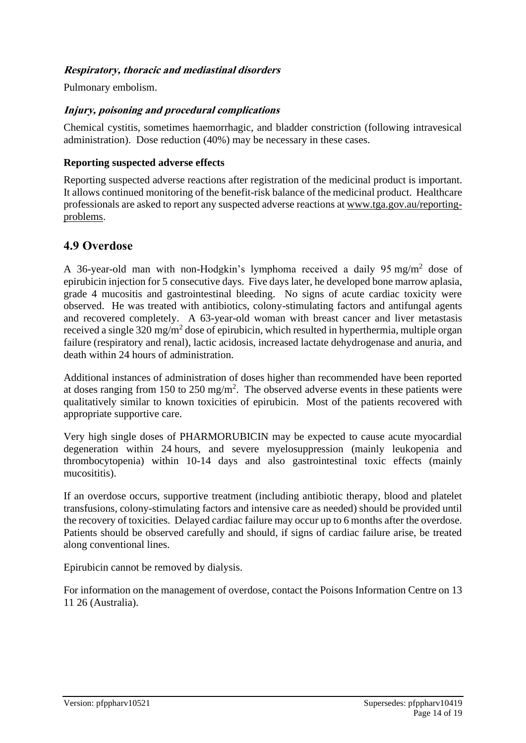# **Respiratory, thoracic and mediastinal disorders**

Pulmonary embolism.

### **Injury, poisoning and procedural complications**

Chemical cystitis, sometimes haemorrhagic, and bladder constriction (following intravesical administration). Dose reduction (40%) may be necessary in these cases.

#### **Reporting suspected adverse effects**

Reporting suspected adverse reactions after registration of the medicinal product is important. It allows continued monitoring of the benefit-risk balance of the medicinal product. Healthcare professionals are asked to report any suspected adverse reactions at [www.tga.gov.au/reporting](http://www.tga.gov.au/reporting-problems)[problems.](http://www.tga.gov.au/reporting-problems)

# **4.9 Overdose**

A 36-year-old man with non-Hodgkin's lymphoma received a daily 95 mg/m<sup>2</sup> dose of epirubicin injection for 5 consecutive days. Five days later, he developed bone marrow aplasia, grade 4 mucositis and gastrointestinal bleeding. No signs of acute cardiac toxicity were observed. He was treated with antibiotics, colony-stimulating factors and antifungal agents and recovered completely. A 63-year-old woman with breast cancer and liver metastasis received a single 320 mg/m<sup>2</sup> dose of epirubicin, which resulted in hyperthermia, multiple organ failure (respiratory and renal), lactic acidosis, increased lactate dehydrogenase and anuria, and death within 24 hours of administration.

Additional instances of administration of doses higher than recommended have been reported at doses ranging from 150 to 250 mg/m<sup>2</sup>. The observed adverse events in these patients were qualitatively similar to known toxicities of epirubicin. Most of the patients recovered with appropriate supportive care.

Very high single doses of PHARMORUBICIN may be expected to cause acute myocardial degeneration within 24 hours, and severe myelosuppression (mainly leukopenia and thrombocytopenia) within 10-14 days and also gastrointestinal toxic effects (mainly mucosititis).

If an overdose occurs, supportive treatment (including antibiotic therapy, blood and platelet transfusions, colony-stimulating factors and intensive care as needed) should be provided until the recovery of toxicities. Delayed cardiac failure may occur up to 6 months after the overdose. Patients should be observed carefully and should, if signs of cardiac failure arise, be treated along conventional lines.

Epirubicin cannot be removed by dialysis.

For information on the management of overdose, contact the Poisons Information Centre on 13 11 26 (Australia).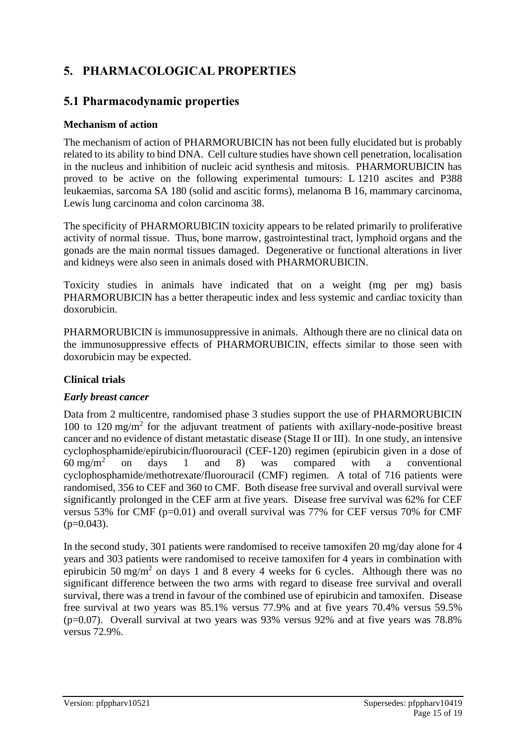# **5. PHARMACOLOGICAL PROPERTIES**

# **5.1 Pharmacodynamic properties**

### **Mechanism of action**

The mechanism of action of PHARMORUBICIN has not been fully elucidated but is probably related to its ability to bind DNA. Cell culture studies have shown cell penetration, localisation in the nucleus and inhibition of nucleic acid synthesis and mitosis. PHARMORUBICIN has proved to be active on the following experimental tumours: L 1210 ascites and P388 leukaemias, sarcoma SA 180 (solid and ascitic forms), melanoma B 16, mammary carcinoma, Lewis lung carcinoma and colon carcinoma 38.

The specificity of PHARMORUBICIN toxicity appears to be related primarily to proliferative activity of normal tissue. Thus, bone marrow, gastrointestinal tract, lymphoid organs and the gonads are the main normal tissues damaged. Degenerative or functional alterations in liver and kidneys were also seen in animals dosed with PHARMORUBICIN.

Toxicity studies in animals have indicated that on a weight (mg per mg) basis PHARMORUBICIN has a better therapeutic index and less systemic and cardiac toxicity than doxorubicin.

PHARMORUBICIN is immunosuppressive in animals. Although there are no clinical data on the immunosuppressive effects of PHARMORUBICIN, effects similar to those seen with doxorubicin may be expected.

# **Clinical trials**

# *Early breast cancer*

Data from 2 multicentre, randomised phase 3 studies support the use of PHARMORUBICIN 100 to 120 mg/m<sup>2</sup> for the adjuvant treatment of patients with axillary-node-positive breast cancer and no evidence of distant metastatic disease (Stage II or III). In one study, an intensive cyclophosphamide/epirubicin/fluorouracil (CEF-120) regimen (epirubicin given in a dose of 60 mg/m<sup>2</sup> on days 1 and 8) was compared with a conventional cyclophosphamide/methotrexate/fluorouracil (CMF) regimen. A total of 716 patients were randomised, 356 to CEF and 360 to CMF. Both disease free survival and overall survival were significantly prolonged in the CEF arm at five years. Disease free survival was 62% for CEF versus 53% for CMF (p=0.01) and overall survival was 77% for CEF versus 70% for CMF  $(p=0.043)$ .

In the second study, 301 patients were randomised to receive tamoxifen 20 mg/day alone for 4 years and 303 patients were randomised to receive tamoxifen for 4 years in combination with epirubicin 50 mg/m<sup>2</sup> on days 1 and 8 every 4 weeks for 6 cycles. Although there was no significant difference between the two arms with regard to disease free survival and overall survival, there was a trend in favour of the combined use of epirubicin and tamoxifen. Disease free survival at two years was 85.1% versus 77.9% and at five years 70.4% versus 59.5% (p=0.07). Overall survival at two years was 93% versus 92% and at five years was 78.8% versus 72.9%.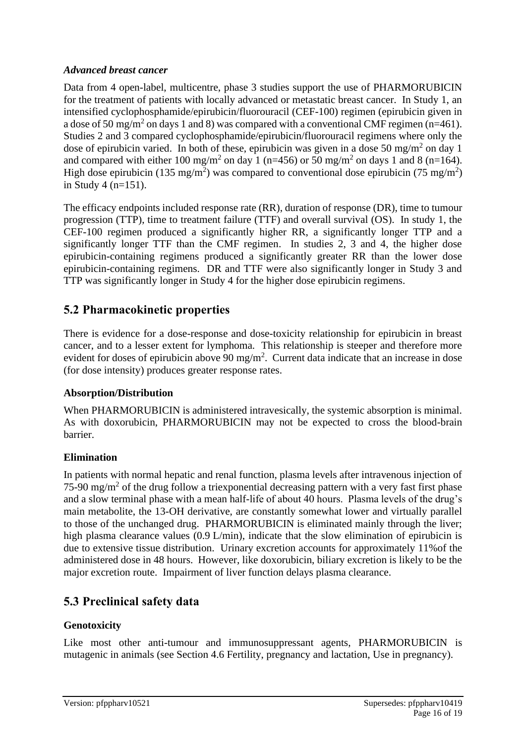### *Advanced breast cancer*

Data from 4 open-label, multicentre, phase 3 studies support the use of PHARMORUBICIN for the treatment of patients with locally advanced or metastatic breast cancer. In Study 1, an intensified cyclophosphamide/epirubicin/fluorouracil (CEF-100) regimen (epirubicin given in a dose of 50 mg/m<sup>2</sup> on days 1 and 8) was compared with a conventional CMF regimen (n=461). Studies 2 and 3 compared cyclophosphamide/epirubicin/fluorouracil regimens where only the dose of epirubicin varied. In both of these, epirubicin was given in a dose 50 mg/m<sup>2</sup> on day 1 and compared with either 100 mg/m<sup>2</sup> on day 1 (n=456) or 50 mg/m<sup>2</sup> on days 1 and 8 (n=164). High dose epirubicin (135 mg/m<sup>2</sup>) was compared to conventional dose epirubicin (75 mg/m<sup>2</sup>) in Study 4 (n=151).

The efficacy endpoints included response rate (RR), duration of response (DR), time to tumour progression (TTP), time to treatment failure (TTF) and overall survival (OS). In study 1, the CEF-100 regimen produced a significantly higher RR, a significantly longer TTP and a significantly longer TTF than the CMF regimen. In studies 2, 3 and 4, the higher dose epirubicin-containing regimens produced a significantly greater RR than the lower dose epirubicin-containing regimens. DR and TTF were also significantly longer in Study 3 and TTP was significantly longer in Study 4 for the higher dose epirubicin regimens.

# **5.2 Pharmacokinetic properties**

There is evidence for a dose-response and dose-toxicity relationship for epirubicin in breast cancer, and to a lesser extent for lymphoma. This relationship is steeper and therefore more evident for doses of epirubicin above 90 mg/m<sup>2</sup>. Current data indicate that an increase in dose (for dose intensity) produces greater response rates.

# **Absorption/Distribution**

When PHARMORUBICIN is administered intravesically, the systemic absorption is minimal. As with doxorubicin, PHARMORUBICIN may not be expected to cross the blood-brain barrier.

# **Elimination**

In patients with normal hepatic and renal function, plasma levels after intravenous injection of 75-90 mg/m<sup>2</sup> of the drug follow a triexponential decreasing pattern with a very fast first phase and a slow terminal phase with a mean half-life of about 40 hours. Plasma levels of the drug's main metabolite, the 13-OH derivative, are constantly somewhat lower and virtually parallel to those of the unchanged drug. PHARMORUBICIN is eliminated mainly through the liver; high plasma clearance values (0.9 L/min), indicate that the slow elimination of epirubicin is due to extensive tissue distribution. Urinary excretion accounts for approximately 11%of the administered dose in 48 hours. However, like doxorubicin, biliary excretion is likely to be the major excretion route. Impairment of liver function delays plasma clearance.

# **5.3 Preclinical safety data**

# **Genotoxicity**

Like most other anti-tumour and immunosuppressant agents, PHARMORUBICIN is mutagenic in animals (see Section 4.6 Fertility, pregnancy and lactation, Use in pregnancy).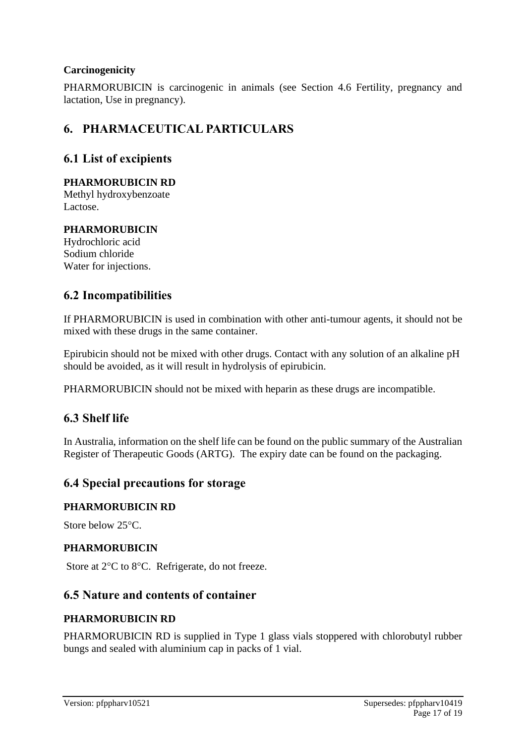# **Carcinogenicity**

PHARMORUBICIN is carcinogenic in animals (see Section 4.6 Fertility, pregnancy and lactation, Use in pregnancy).

# **6. PHARMACEUTICAL PARTICULARS**

# **6.1 List of excipients**

### **PHARMORUBICIN RD**

Methyl hydroxybenzoate Lactose.

# **PHARMORUBICIN**

Hydrochloric acid Sodium chloride Water for injections.

# **6.2 Incompatibilities**

If PHARMORUBICIN is used in combination with other anti-tumour agents, it should not be mixed with these drugs in the same container.

Epirubicin should not be mixed with other drugs. Contact with any solution of an alkaline pH should be avoided, as it will result in hydrolysis of epirubicin.

PHARMORUBICIN should not be mixed with heparin as these drugs are incompatible.

# **6.3 Shelf life**

In Australia, information on the shelf life can be found on the public summary of the Australian Register of Therapeutic Goods (ARTG). The expiry date can be found on the packaging.

# **6.4 Special precautions for storage**

#### **PHARMORUBICIN RD**

Store below  $25^{\circ}$ C.

#### **PHARMORUBICIN**

Store at 2°C to 8°C. Refrigerate, do not freeze.

# **6.5 Nature and contents of container**

#### **PHARMORUBICIN RD**

PHARMORUBICIN RD is supplied in Type 1 glass vials stoppered with chlorobutyl rubber bungs and sealed with aluminium cap in packs of 1 vial.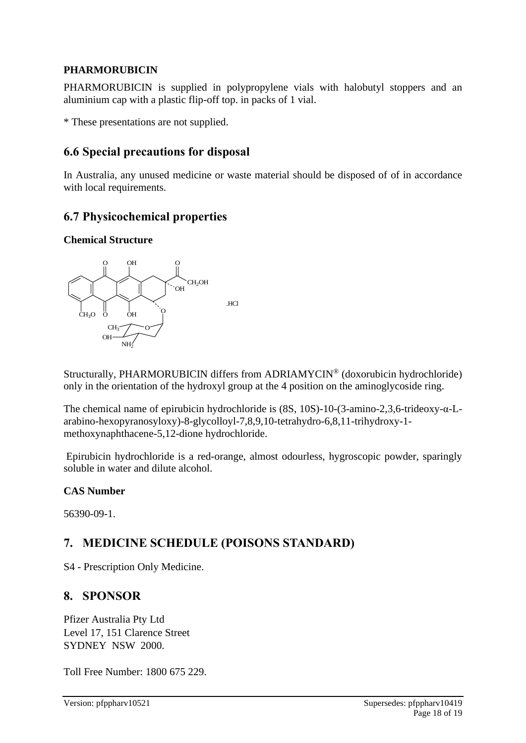# **PHARMORUBICIN**

PHARMORUBICIN is supplied in polypropylene vials with halobutyl stoppers and an aluminium cap with a plastic flip-off top. in packs of 1 vial.

\* These presentations are not supplied.

# **6.6 Special precautions for disposal**

In Australia, any unused medicine or waste material should be disposed of of in accordance with local requirements.

# **6.7 Physicochemical properties**

### **Chemical Structure**



Structurally, PHARMORUBICIN differs from ADRIAMYCIN® (doxorubicin hydrochloride) only in the orientation of the hydroxyl group at the 4 position on the aminoglycoside ring.

The chemical name of epirubicin hydrochloride is (8S, 10S)-10-(3-amino-2,3,6-trideoxy-α-Larabino-hexopyranosyloxy)-8-glycolloyl-7,8,9,10-tetrahydro-6,8,11-trihydroxy-1 methoxynaphthacene-5,12-dione hydrochloride.

Epirubicin hydrochloride is a red-orange, almost odourless, hygroscopic powder, sparingly soluble in water and dilute alcohol.

# **CAS Number**

56390-09-1.

# **7. MEDICINE SCHEDULE (POISONS STANDARD)**

S4 - Prescription Only Medicine.

# **8. SPONSOR**

Pfizer Australia Pty Ltd Level 17, 151 Clarence Street SYDNEY NSW 2000.

Toll Free Number: 1800 675 229.